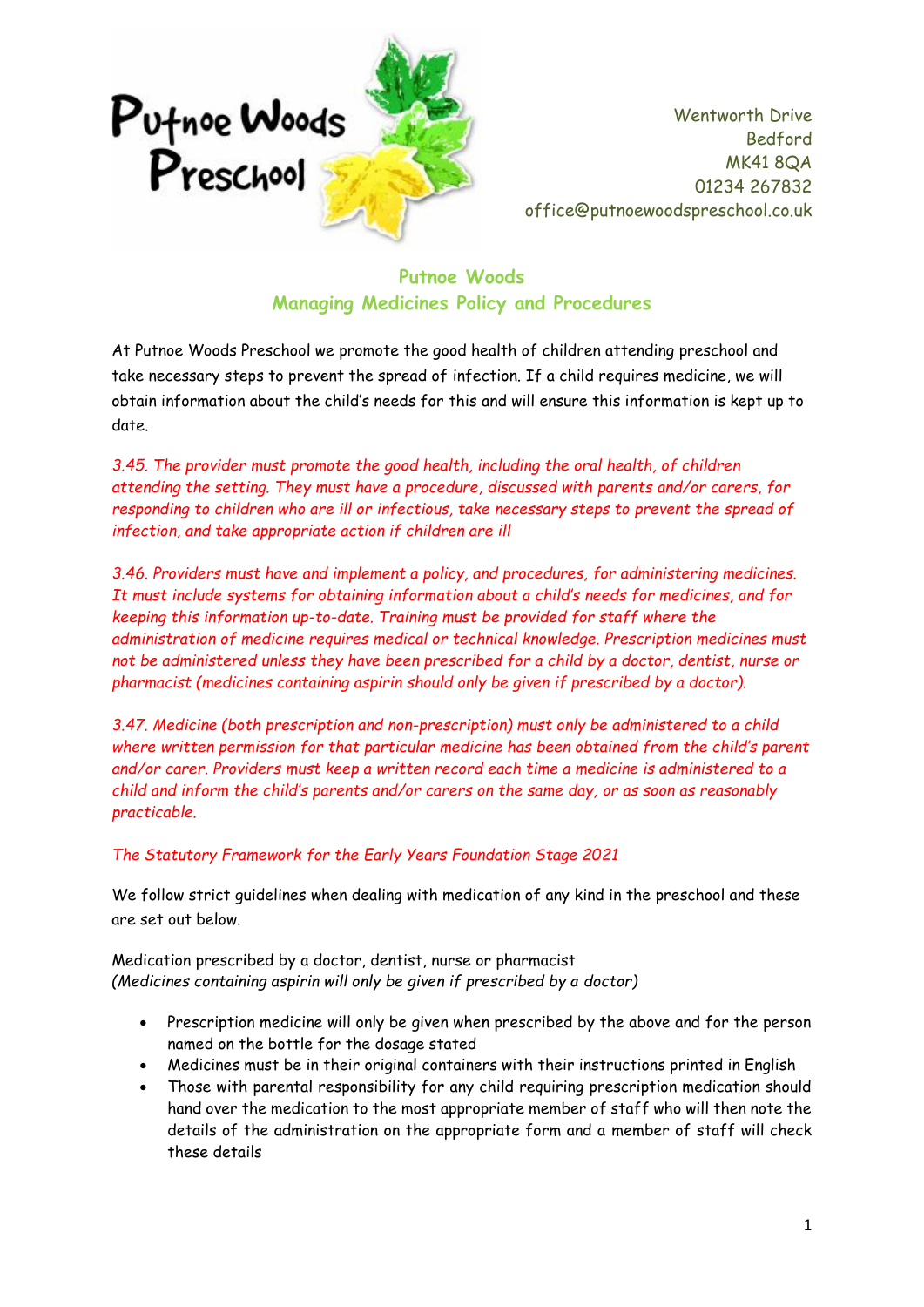

## **Putnoe Woods Managing Medicines Policy and Procedures**

At Putnoe Woods Preschool we promote the good health of children attending preschool and take necessary steps to prevent the spread of infection. If a child requires medicine, we will obtain information about the child's needs for this and will ensure this information is kept up to date.

*3.45. The provider must promote the good health, including the oral health, of children attending the setting. They must have a procedure, discussed with parents and/or carers, for responding to children who are ill or infectious, take necessary steps to prevent the spread of infection, and take appropriate action if children are ill*

*3.46. Providers must have and implement a policy, and procedures, for administering medicines. It must include systems for obtaining information about a child's needs for medicines, and for keeping this information up-to-date. Training must be provided for staff where the administration of medicine requires medical or technical knowledge. Prescription medicines must not be administered unless they have been prescribed for a child by a doctor, dentist, nurse or pharmacist (medicines containing aspirin should only be given if prescribed by a doctor).* 

*3.47. Medicine (both prescription and non-prescription) must only be administered to a child where written permission for that particular medicine has been obtained from the child's parent and/or carer. Providers must keep a written record each time a medicine is administered to a child and inform the child's parents and/or carers on the same day, or as soon as reasonably practicable.*

## *The Statutory Framework for the Early Years Foundation Stage 2021*

We follow strict guidelines when dealing with medication of any kind in the preschool and these are set out below.

Medication prescribed by a doctor, dentist, nurse or pharmacist *(Medicines containing aspirin will only be given if prescribed by a doctor)*

- Prescription medicine will only be given when prescribed by the above and for the person named on the bottle for the dosage stated
- Medicines must be in their original containers with their instructions printed in English
- Those with parental responsibility for any child requiring prescription medication should hand over the medication to the most appropriate member of staff who will then note the details of the administration on the appropriate form and a member of staff will check these details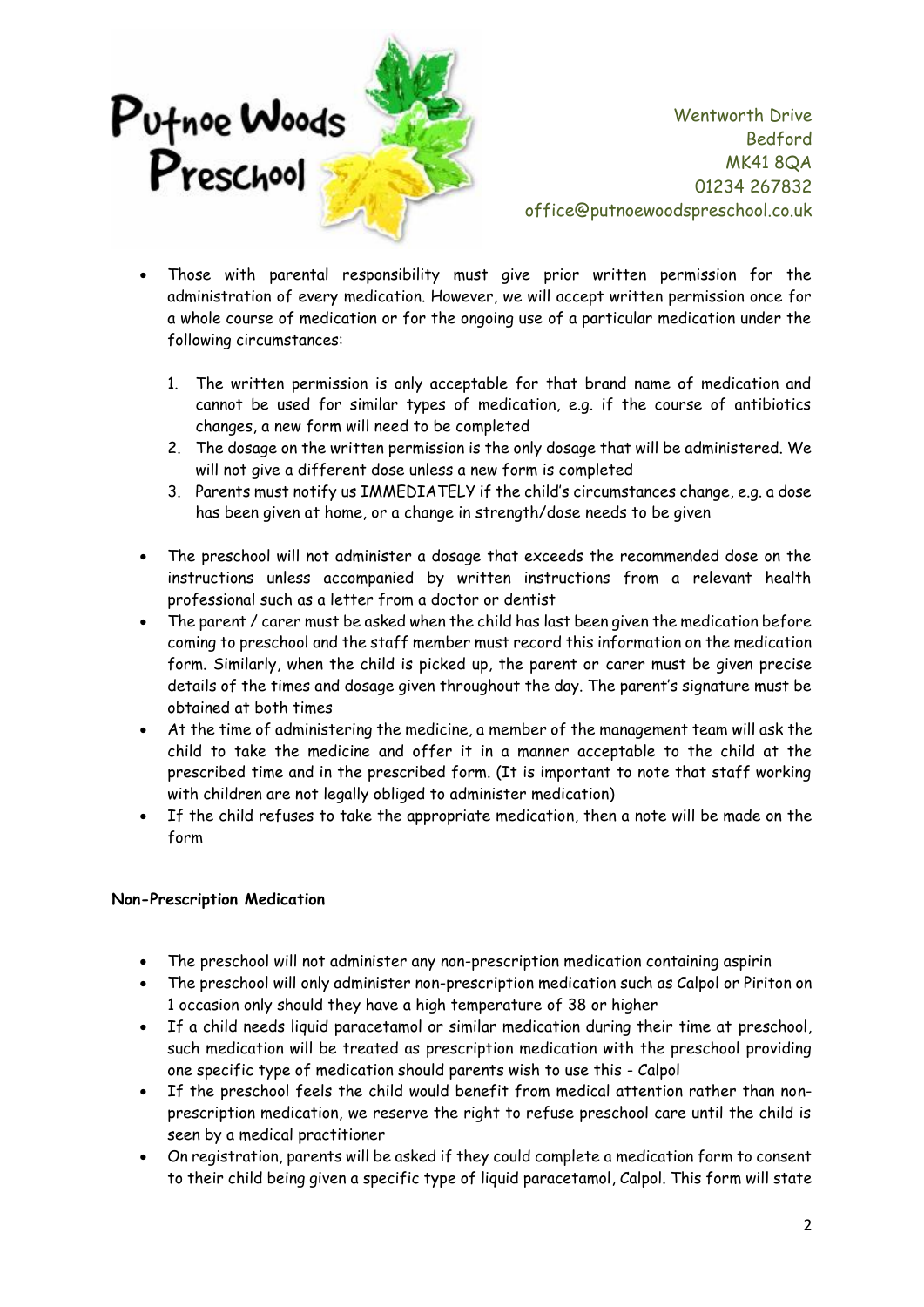

- Those with parental responsibility must give prior written permission for the administration of every medication. However, we will accept written permission once for a whole course of medication or for the ongoing use of a particular medication under the following circumstances:
	- 1. The written permission is only acceptable for that brand name of medication and cannot be used for similar types of medication, e.g. if the course of antibiotics changes, a new form will need to be completed
	- 2. The dosage on the written permission is the only dosage that will be administered. We will not give a different dose unless a new form is completed
	- 3. Parents must notify us IMMEDIATELY if the child's circumstances change, e.g. a dose has been given at home, or a change in strength/dose needs to be given
- The preschool will not administer a dosage that exceeds the recommended dose on the instructions unless accompanied by written instructions from a relevant health professional such as a letter from a doctor or dentist
- The parent / carer must be asked when the child has last been given the medication before coming to preschool and the staff member must record this information on the medication form. Similarly, when the child is picked up, the parent or carer must be given precise details of the times and dosage given throughout the day. The parent's signature must be obtained at both times
- At the time of administering the medicine, a member of the management team will ask the child to take the medicine and offer it in a manner acceptable to the child at the prescribed time and in the prescribed form. (It is important to note that staff working with children are not legally obliged to administer medication)
- If the child refuses to take the appropriate medication, then a note will be made on the form

## **Non-Prescription Medication**

- The preschool will not administer any non-prescription medication containing aspirin
- The preschool will only administer non-prescription medication such as Calpol or Piriton on 1 occasion only should they have a high temperature of 38 or higher
- If a child needs liquid paracetamol or similar medication during their time at preschool, such medication will be treated as prescription medication with the preschool providing one specific type of medication should parents wish to use this - Calpol
- If the preschool feels the child would benefit from medical attention rather than nonprescription medication, we reserve the right to refuse preschool care until the child is seen by a medical practitioner
- On registration, parents will be asked if they could complete a medication form to consent to their child being given a specific type of liquid paracetamol, Calpol. This form will state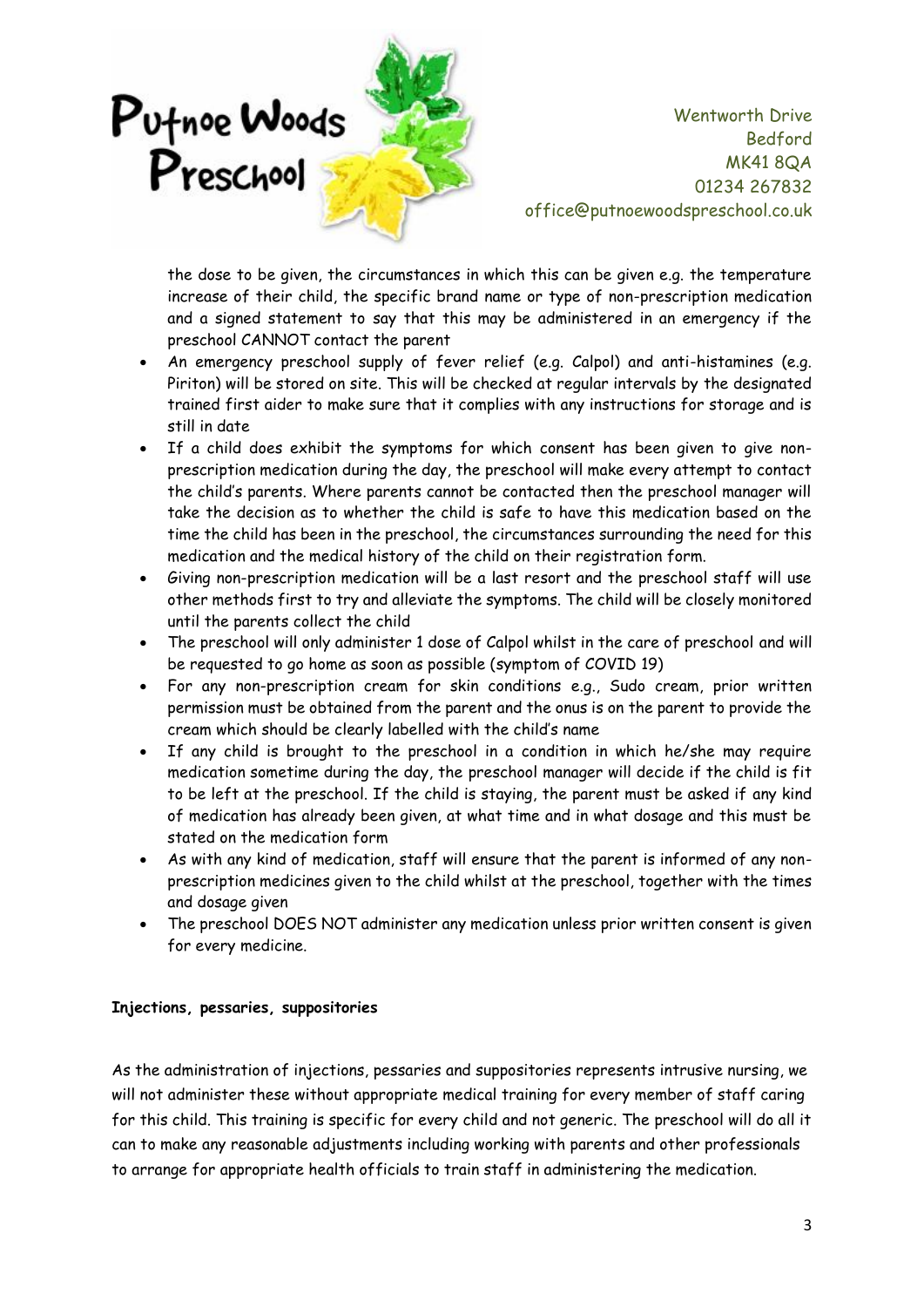

the dose to be given, the circumstances in which this can be given e.g. the temperature increase of their child, the specific brand name or type of non-prescription medication and a signed statement to say that this may be administered in an emergency if the preschool CANNOT contact the parent

- An emergency preschool supply of fever relief (e.g. Calpol) and anti-histamines (e.g. Piriton) will be stored on site. This will be checked at regular intervals by the designated trained first aider to make sure that it complies with any instructions for storage and is still in date
- If a child does exhibit the symptoms for which consent has been given to give nonprescription medication during the day, the preschool will make every attempt to contact the child's parents. Where parents cannot be contacted then the preschool manager will take the decision as to whether the child is safe to have this medication based on the time the child has been in the preschool, the circumstances surrounding the need for this medication and the medical history of the child on their registration form.
- Giving non-prescription medication will be a last resort and the preschool staff will use other methods first to try and alleviate the symptoms. The child will be closely monitored until the parents collect the child
- The preschool will only administer 1 dose of Calpol whilst in the care of preschool and will be requested to go home as soon as possible (symptom of COVID 19)
- For any non-prescription cream for skin conditions e.g., Sudo cream, prior written permission must be obtained from the parent and the onus is on the parent to provide the cream which should be clearly labelled with the child's name
- If any child is brought to the preschool in a condition in which he/she may require medication sometime during the day, the preschool manager will decide if the child is fit to be left at the preschool. If the child is staying, the parent must be asked if any kind of medication has already been given, at what time and in what dosage and this must be stated on the medication form
- As with any kind of medication, staff will ensure that the parent is informed of any nonprescription medicines given to the child whilst at the preschool, together with the times and dosage given
- The preschool DOES NOT administer any medication unless prior written consent is given for every medicine.

### **Injections, pessaries, suppositories**

As the administration of injections, pessaries and suppositories represents intrusive nursing, we will not administer these without appropriate medical training for every member of staff caring for this child. This training is specific for every child and not generic. The preschool will do all it can to make any reasonable adjustments including working with parents and other professionals to arrange for appropriate health officials to train staff in administering the medication.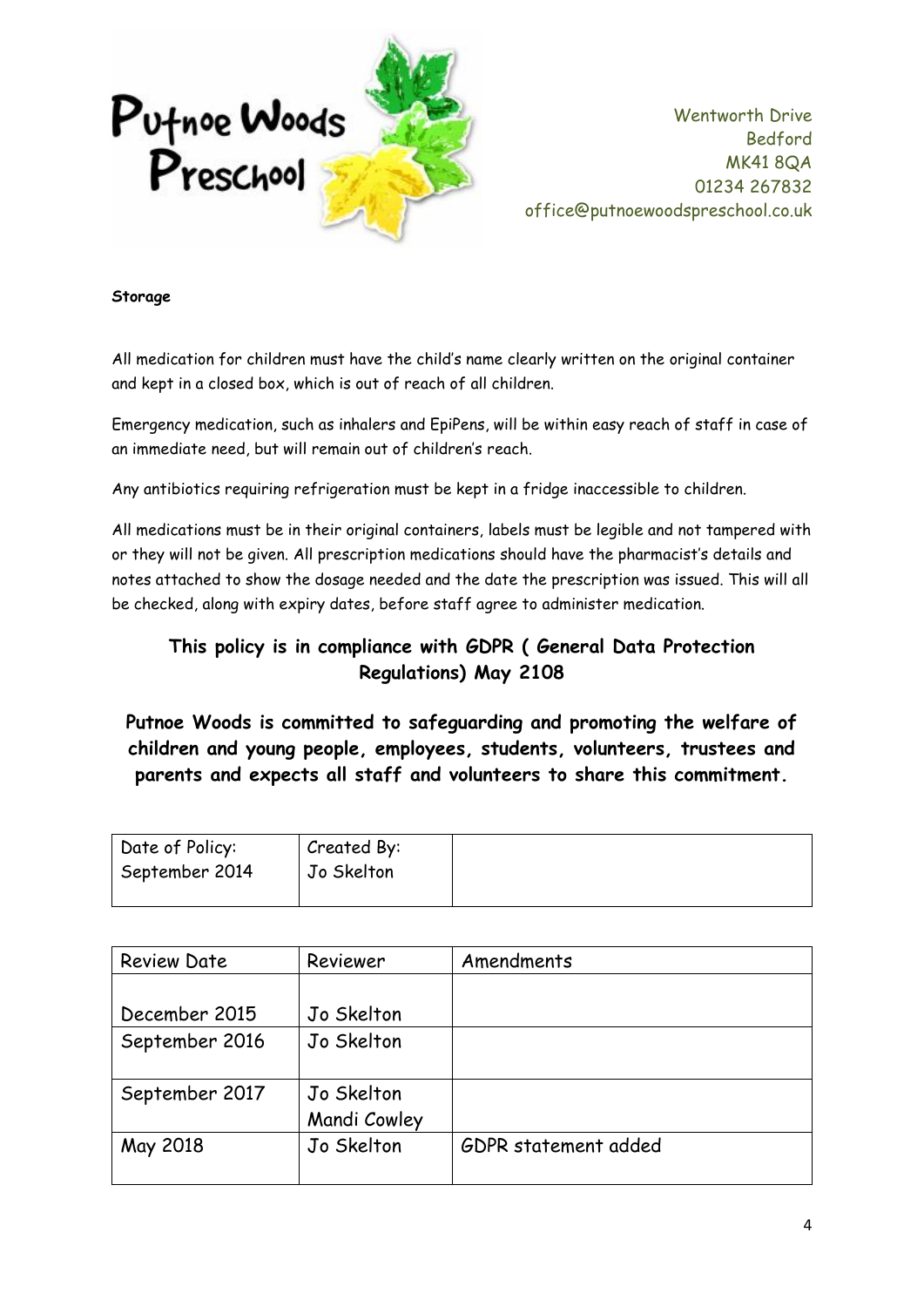

#### **Storage**

All medication for children must have the child's name clearly written on the original container and kept in a closed box, which is out of reach of all children.

Emergency medication, such as inhalers and EpiPens, will be within easy reach of staff in case of an immediate need, but will remain out of children's reach.

Any antibiotics requiring refrigeration must be kept in a fridge inaccessible to children.

All medications must be in their original containers, labels must be legible and not tampered with or they will not be given. All prescription medications should have the pharmacist's details and notes attached to show the dosage needed and the date the prescription was issued. This will all be checked, along with expiry dates, before staff agree to administer medication.

# **This policy is in compliance with GDPR ( General Data Protection Regulations) May 2108**

**Putnoe Woods is committed to safeguarding and promoting the welfare of children and young people, employees, students, volunteers, trustees and parents and expects all staff and volunteers to share this commitment.**

| Date of Policy: | Created By: |
|-----------------|-------------|
| September 2014  | Jo Skelton  |
|                 |             |

| <b>Review Date</b> | Reviewer     | Amendments           |  |
|--------------------|--------------|----------------------|--|
|                    |              |                      |  |
| December 2015      | Jo Skelton   |                      |  |
| September 2016     | Jo Skelton   |                      |  |
|                    |              |                      |  |
| September 2017     | Jo Skelton   |                      |  |
|                    | Mandi Cowley |                      |  |
| May 2018           | Jo Skelton   | GDPR statement added |  |
|                    |              |                      |  |